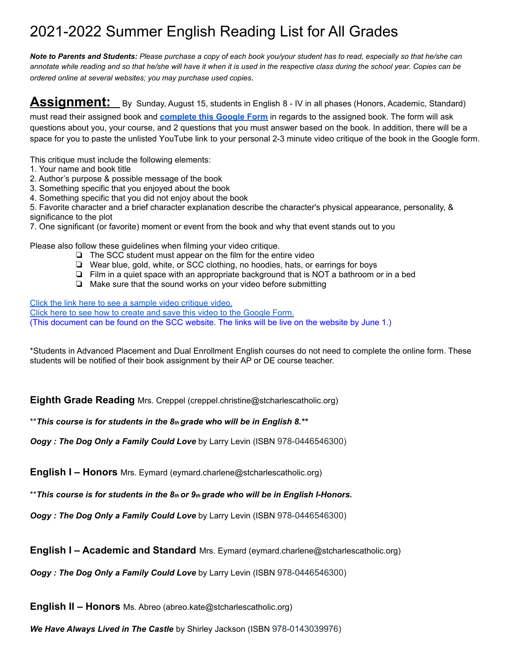## 2021-2022 Summer English Reading List for All Grades

*Note to Parents and Students: Please purchase a copy of each book you/your student has to read, especially so that he/she can annotate while reading and so that he/she will have it when it is used in the respective class during the school year. Copies can be ordered online at several websites; you may purchase used copies*.

## **Assignment:** By Sunday, August 15, students in English 8 - IV in all phases (Honors, Academic, Standard)

must read their assigned book and **[complete this Google Form](https://docs.google.com/forms/d/e/1FAIpQLSeCFvH7EZBwt_5qnbn5tbMK3D5rhDib_3JPngnO-3zHXcHkXg/viewform?usp=sf_link)** in regards to the assigned book. The form will ask questions about you, your course, and 2 questions that you must answer based on the book. In addition, there will be a space for you to paste the unlisted YouTube link to your personal 2-3 minute video critique of the book in the Google form.

This critique must include the following elements:

- 1. Your name and book title
- 2. Author's purpose & possible message of the book
- 3. Something specific that you enjoyed about the book
- 4. Something specific that you did not enjoy about the book

5. Favorite character and a brief character explanation describe the character's physical appearance, personality, & significance to the plot

7. One significant (or favorite) moment or event from the book and why that event stands out to you

Please also follow these guidelines when filming your video critique.

- ❏ The SCC student must appear on the film for the entire video
- ❏ Wear blue, gold, white, or SCC clothing, no hoodies, hats, or earrings for boys
- ❏ Film in a quiet space with an appropriate background that is NOT a bathroom or in a bed
- ❏ Make sure that the sound works on your video before submitting

[Click the link here to see a sample video critique video.](https://www.youtube.com/watch?v=Of9Rfhd4PzI)

[Click here to see how to create and save this video to the Google Form.](https://vimeo.com/398069349) (This document can be found on the SCC website. The links will be live on the website by June 1.)

\*Students in Advanced Placement and Dual Enrollment English courses do not need to complete the online form. These students will be notified of their book assignment by their AP or DE course teacher.

**Eighth Grade Reading** Mrs. Creppel (creppel.christine@stcharlescatholic.org)

\*\**This course is for students in the 8th grade who will be in English 8.\*\**

*Oogy : The Dog Only a Family Could Love* by Larry Levin (ISBN 978-0446546300)

**English I – Honors** Mrs. Eymard (eymard.charlene@stcharlescatholic.org)

\*\**This course is for students in the 8th or 9th grade who will be in English I-Honors.*

*Oogy : The Dog Only a Family Could Love* by Larry Levin (ISBN 978-0446546300)

**English I – Academic and Standard** Mrs. Eymard (eymard.charlene@stcharlescatholic.org)

*Oogy : The Dog Only a Family Could Love* by Larry Levin (ISBN 978-0446546300)

**English II – Honors** Ms. Abreo (abreo.kate@stcharlescatholic.org)

*We Have Always Lived in The Castle* by Shirley Jackson (ISBN 978-0143039976)